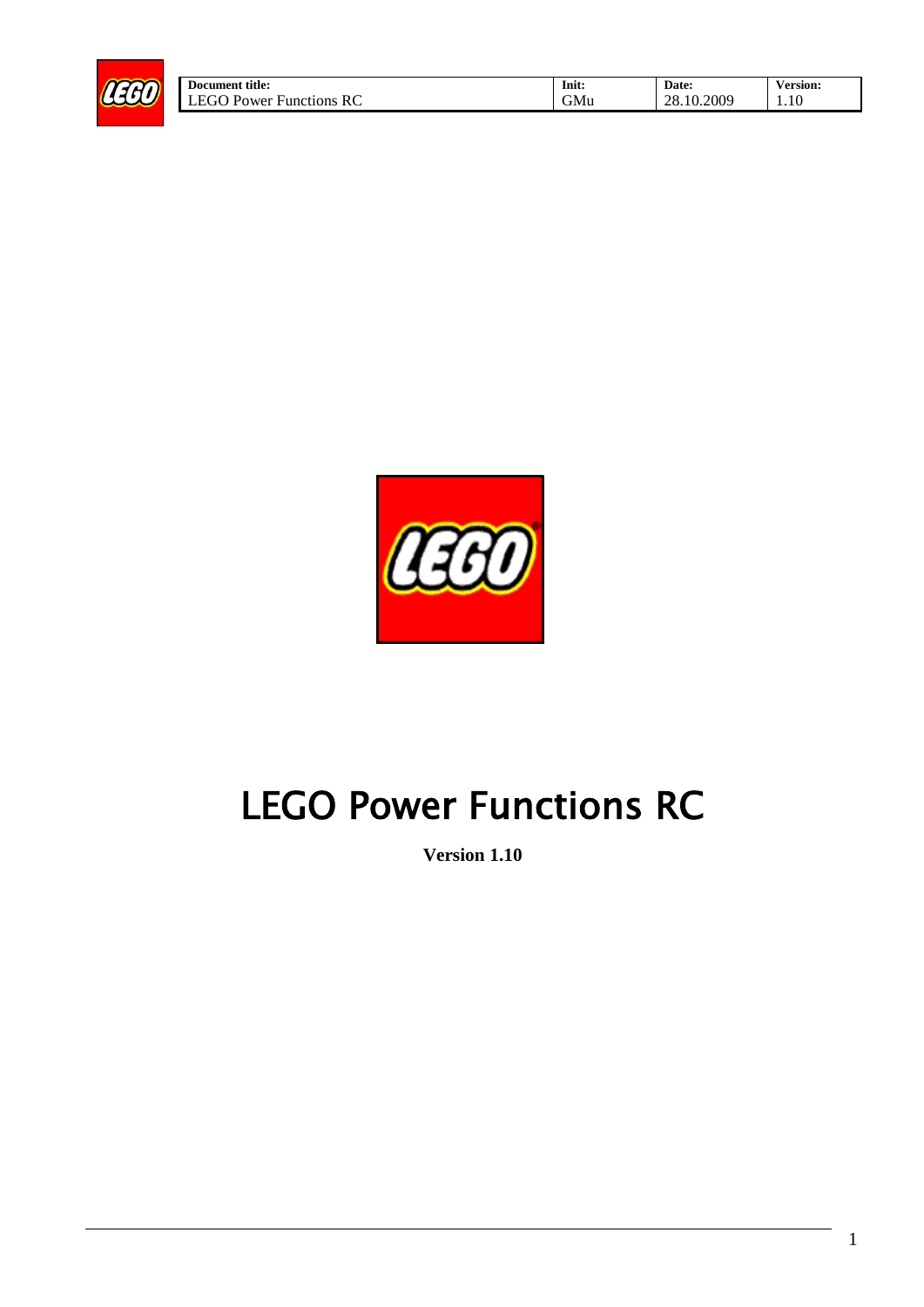

| <b>Document title:</b>             | Init:      | Date:      | /ersion: |
|------------------------------------|------------|------------|----------|
| LEGO.<br>RC<br>J Power Functions ' | <b>GMu</b> | 28.10.2009 | 1.10     |



# LEGO Power Functions RC

**Version 1.10**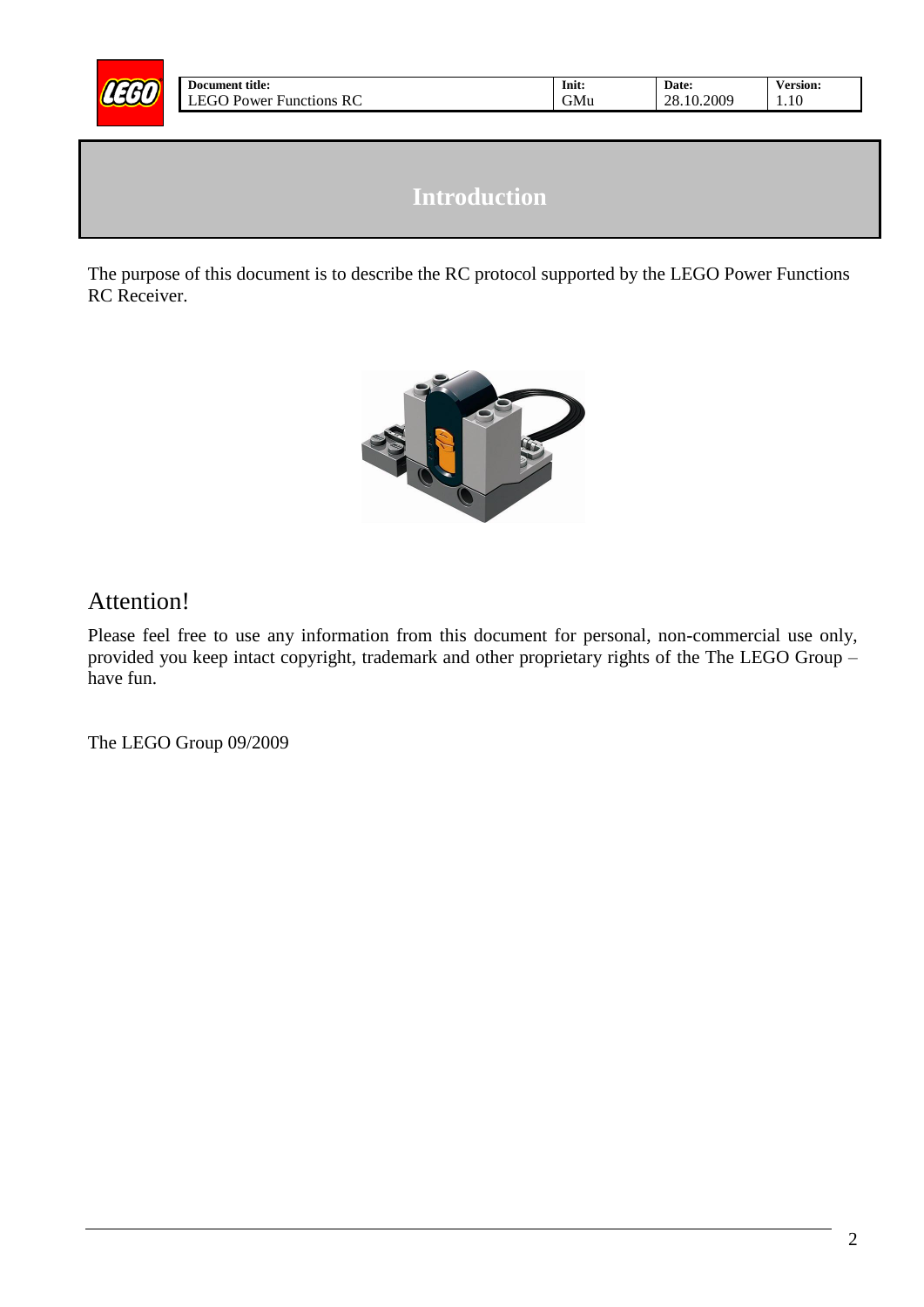

# **Introduction**

<span id="page-1-0"></span>The purpose of this document is to describe the RC protocol supported by the LEGO Power Functions RC Receiver.



#### Attention!

Please feel free to use any information from this document for personal, non-commercial use only, provided you keep intact copyright, trademark and other proprietary rights of the The LEGO Group – have fun.

The LEGO Group 09/2009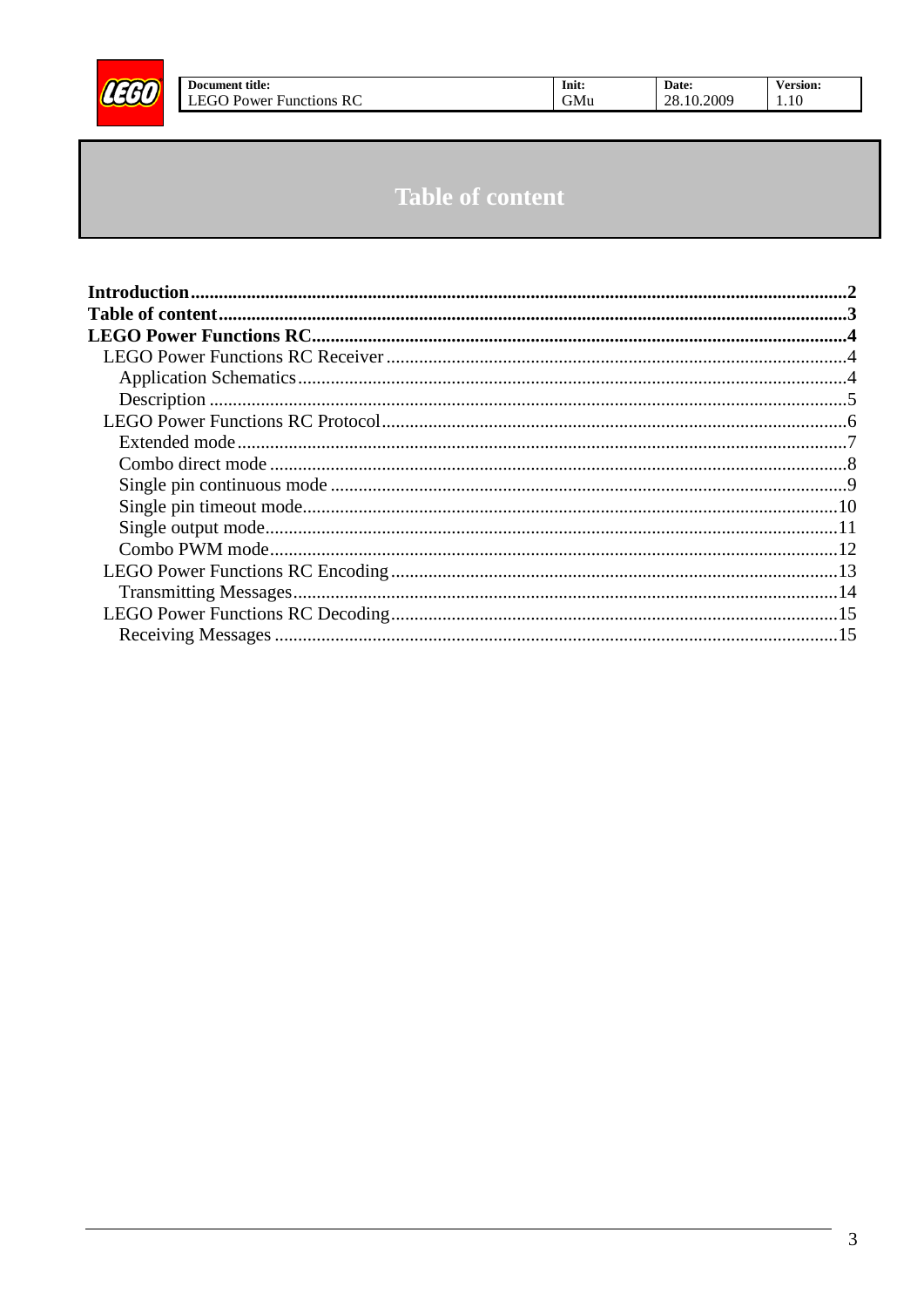<span id="page-2-0"></span>

# **Table of content**

Init:

 $\mbox{GMu}$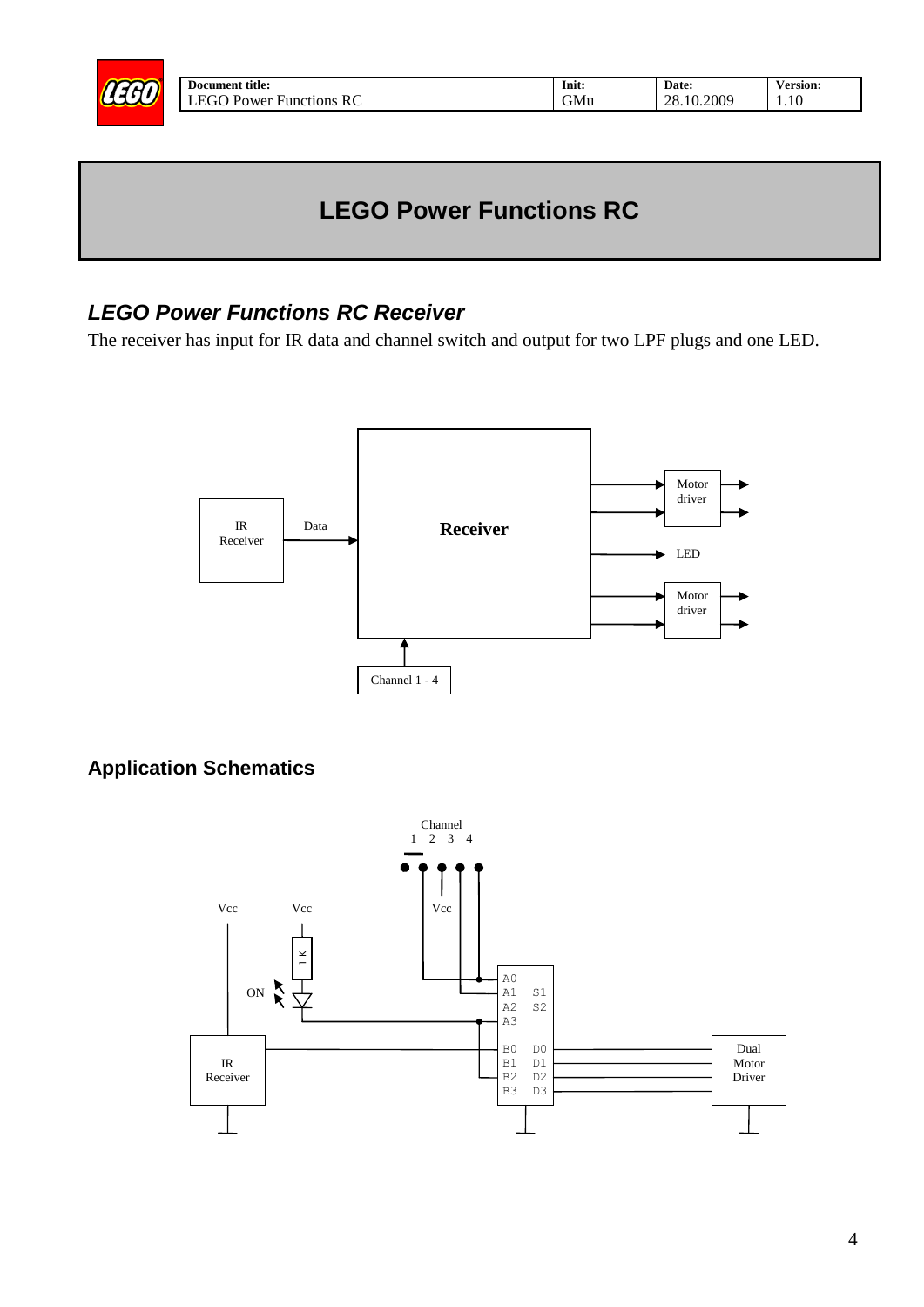<span id="page-3-0"></span>

| Init:            | Date:      | <b>Version:</b> |
|------------------|------------|-----------------|
| GM <sub>11</sub> | 28.10.2009 | 10              |

# **LEGO Power Functions RC**

#### <span id="page-3-1"></span>*LEGO Power Functions RC Receiver*

The receiver has input for IR data and channel switch and output for two LPF plugs and one LED.



#### <span id="page-3-2"></span>**Application Schematics**

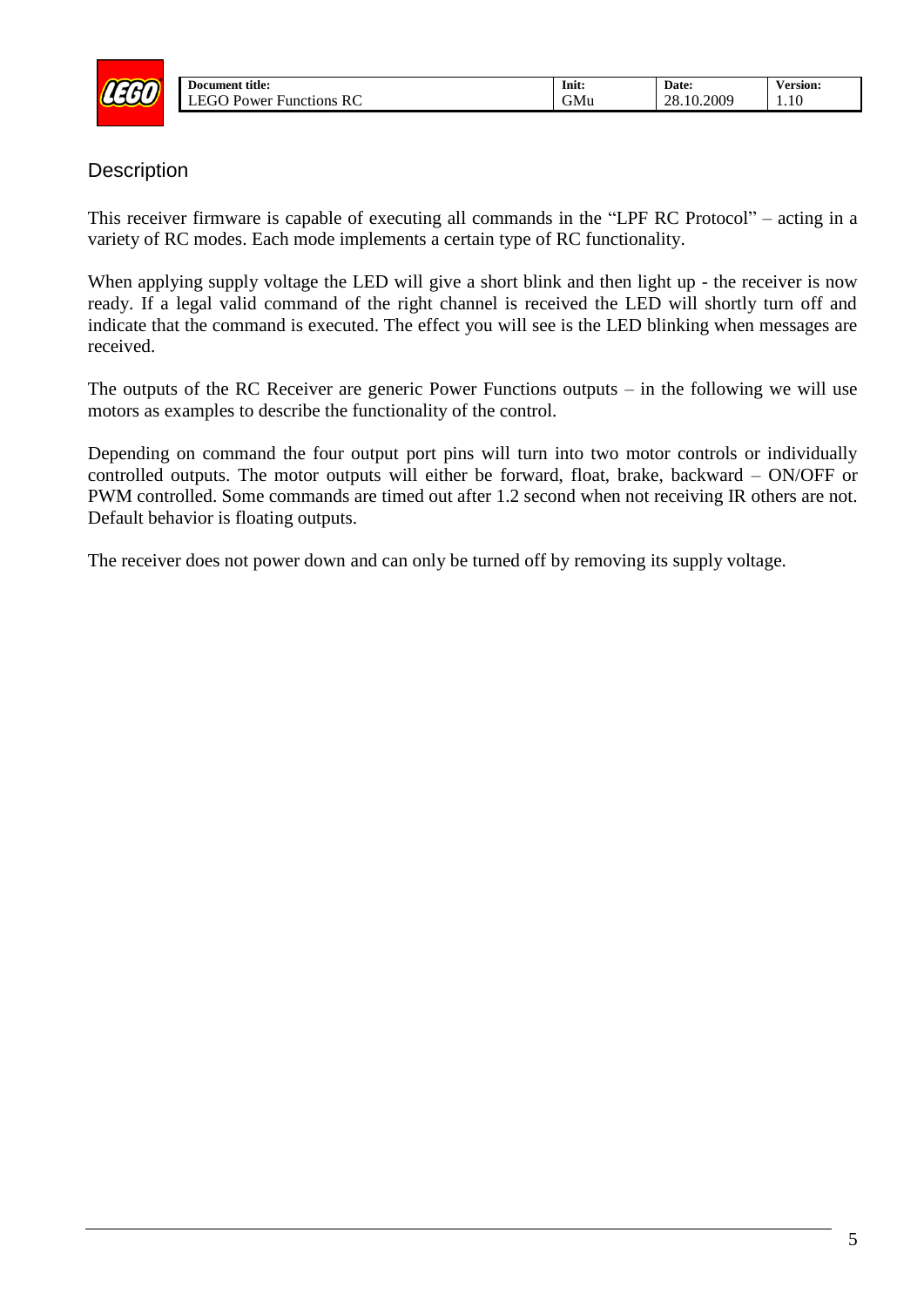

| Init: | Date:      | <b>Version:</b> |
|-------|------------|-----------------|
| GMu   | 28.10.2009 | .10             |

#### <span id="page-4-0"></span>**Description**

This receiver firmware is capable of executing all commands in the "LPF RC Protocol" – acting in a variety of RC modes. Each mode implements a certain type of RC functionality.

When applying supply voltage the LED will give a short blink and then light up - the receiver is now ready. If a legal valid command of the right channel is received the LED will shortly turn off and indicate that the command is executed. The effect you will see is the LED blinking when messages are received.

The outputs of the RC Receiver are generic Power Functions outputs – in the following we will use motors as examples to describe the functionality of the control.

Depending on command the four output port pins will turn into two motor controls or individually controlled outputs. The motor outputs will either be forward, float, brake, backward – ON/OFF or PWM controlled. Some commands are timed out after 1.2 second when not receiving IR others are not. Default behavior is floating outputs.

The receiver does not power down and can only be turned off by removing its supply voltage.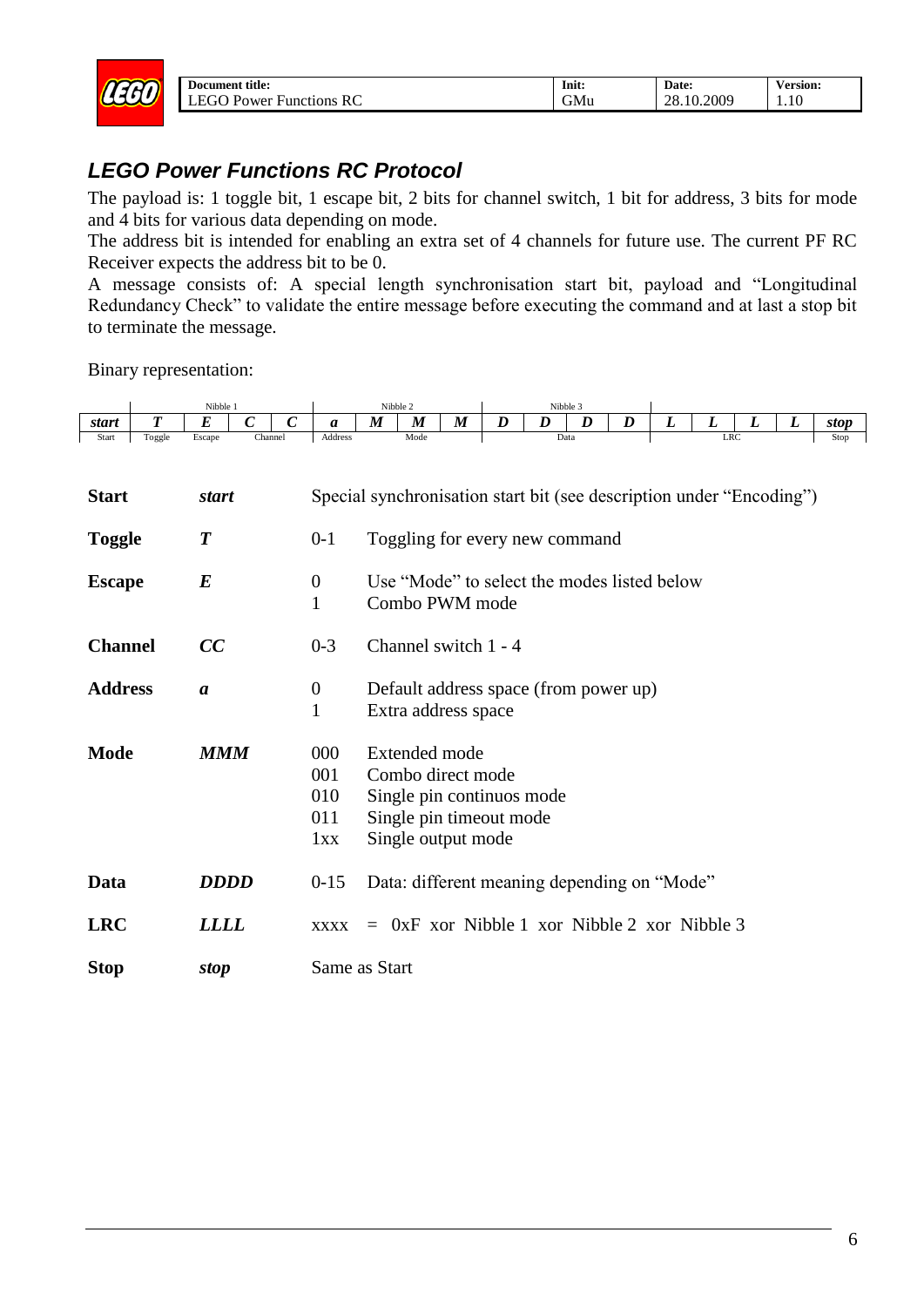

| Init:            | Date:      | <b>Version:</b> |
|------------------|------------|-----------------|
| GM <sub>II</sub> | 28.10.2009 | .10             |

### <span id="page-5-0"></span>*LEGO Power Functions RC Protocol*

The payload is: 1 toggle bit, 1 escape bit, 2 bits for channel switch, 1 bit for address, 3 bits for mode and 4 bits for various data depending on mode.

The address bit is intended for enabling an extra set of 4 channels for future use. The current PF RC Receiver expects the address bit to be 0.

A message consists of: A special length synchronisation start bit, payload and "Longitudinal Redundancy Check" to validate the entire message before executing the command and at last a stop bit to terminate the message.

Binary representation:

 $\mathbf{L}$ 

|                |        | Nibble 1         |              |                  |                                                                      | Nibble 2                                                                                                         |                                                               |                  | Nibble 3         |      |   |   |   |            |   |   |      |  |  |  |
|----------------|--------|------------------|--------------|------------------|----------------------------------------------------------------------|------------------------------------------------------------------------------------------------------------------|---------------------------------------------------------------|------------------|------------------|------|---|---|---|------------|---|---|------|--|--|--|
| <i>start</i>   | T      | $\boldsymbol{E}$ | $\mathcal C$ | $\boldsymbol{C}$ | a                                                                    | M                                                                                                                | $\boldsymbol{M}$                                              | $\boldsymbol{M}$ | $\boldsymbol{D}$ | D    | D | D | L | L          | L | L | stop |  |  |  |
| Start          | Toggle | Escape           |              | Channel          | Address                                                              |                                                                                                                  | Mode                                                          |                  |                  | Data |   |   |   | <b>LRC</b> |   |   | Stop |  |  |  |
| <b>Start</b>   |        | <i>start</i>     |              |                  | Special synchronisation start bit (see description under "Encoding") |                                                                                                                  |                                                               |                  |                  |      |   |   |   |            |   |   |      |  |  |  |
| <b>Toggle</b>  |        | $\boldsymbol{T}$ |              |                  | $0 - 1$                                                              | Toggling for every new command                                                                                   |                                                               |                  |                  |      |   |   |   |            |   |   |      |  |  |  |
| <b>Escape</b>  |        | $\bm E$          |              |                  | $\boldsymbol{0}$<br>1                                                |                                                                                                                  | Use "Mode" to select the modes listed below<br>Combo PWM mode |                  |                  |      |   |   |   |            |   |   |      |  |  |  |
| <b>Channel</b> |        | CC               |              |                  | $0 - 3$                                                              | Channel switch 1 - 4                                                                                             |                                                               |                  |                  |      |   |   |   |            |   |   |      |  |  |  |
| <b>Address</b> |        | $\boldsymbol{a}$ |              |                  | $\boldsymbol{0}$<br>$\mathbf{1}$                                     | Default address space (from power up)<br>Extra address space                                                     |                                                               |                  |                  |      |   |   |   |            |   |   |      |  |  |  |
| <b>Mode</b>    |        | <b>MMM</b>       |              |                  | 000<br>001<br>010<br>011<br>1xx                                      | Extended mode<br>Combo direct mode<br>Single pin continuos mode<br>Single pin timeout mode<br>Single output mode |                                                               |                  |                  |      |   |   |   |            |   |   |      |  |  |  |
| Data           |        | <b>DDDD</b>      |              |                  | $0-15$                                                               |                                                                                                                  | Data: different meaning depending on "Mode"                   |                  |                  |      |   |   |   |            |   |   |      |  |  |  |
| <b>LRC</b>     |        | <b>LLLL</b>      |              |                  | <b>XXXX</b>                                                          |                                                                                                                  | $=$ 0xF xor Nibble 1 xor Nibble 2 xor Nibble 3                |                  |                  |      |   |   |   |            |   |   |      |  |  |  |
| <b>Stop</b>    |        | stop             |              |                  | Same as Start                                                        |                                                                                                                  |                                                               |                  |                  |      |   |   |   |            |   |   |      |  |  |  |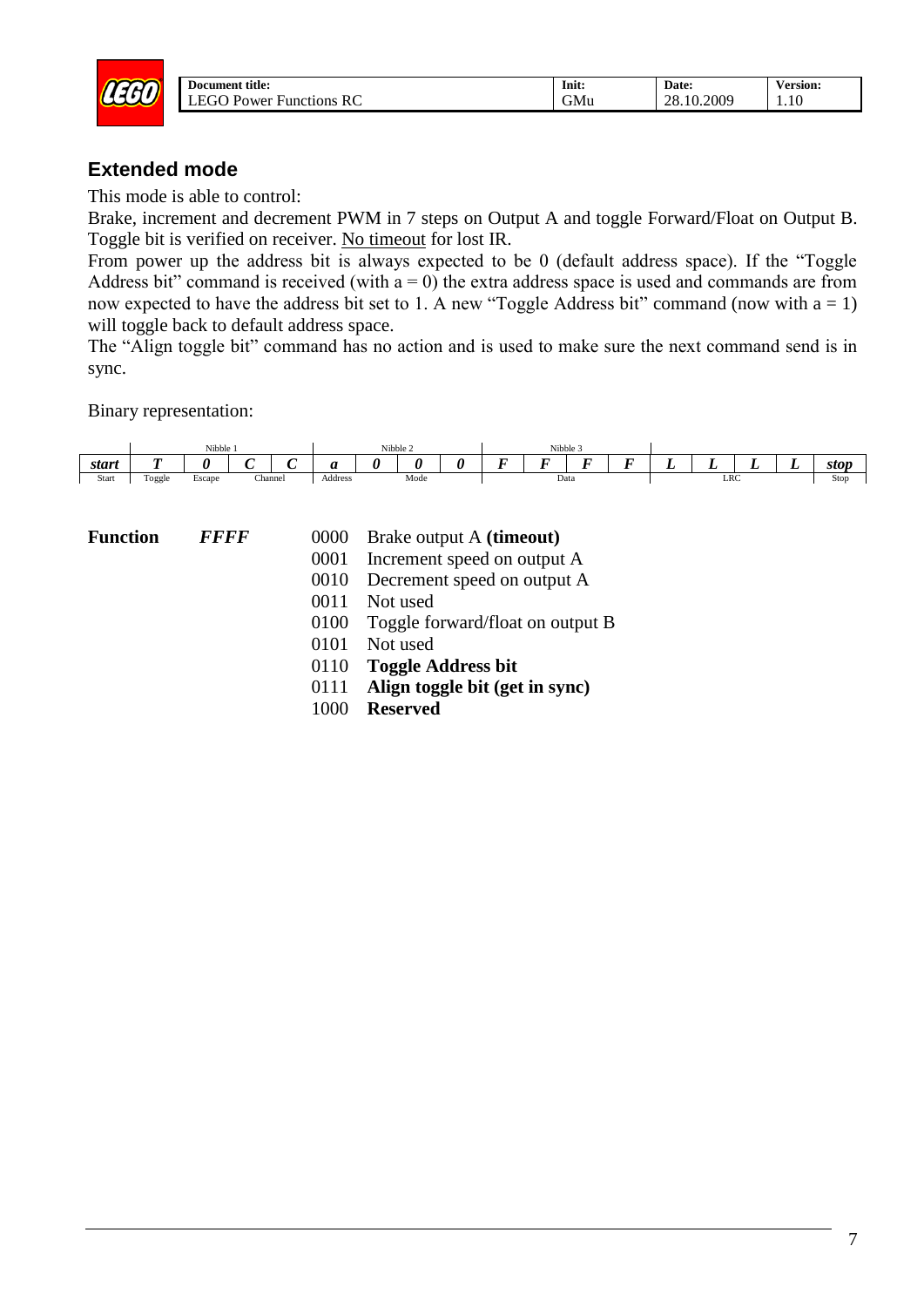

| Init: | Date:      | <b>Version:</b> |
|-------|------------|-----------------|
| GMu   | 28.10.2009 | .10             |

#### <span id="page-6-0"></span>**Extended mode**

This mode is able to control:

Brake, increment and decrement PWM in 7 steps on Output A and toggle Forward/Float on Output B. Toggle bit is verified on receiver. No timeout for lost IR.

From power up the address bit is always expected to be 0 (default address space). If the "Toggle Address bit" command is received (with  $a = 0$ ) the extra address space is used and commands are from now expected to have the address bit set to 1. A new "Toggle Address bit" command (now with  $a = 1$ ) will toggle back to default address space.

The "Align toggle bit" command has no action and is used to make sure the next command send is in sync.



- **FFFF** 0000 Brake output A **(timeout)** 
	- 0001 Increment speed on output A
	- 0010 Decrement speed on output A
	- 0011 Not used
	- 0100 Toggle forward/float on output B
	- 0101 Not used
	- 0110 **Toggle Address bit**
	- 0111 **Align toggle bit (get in sync)**
	- 1000 **Reserved**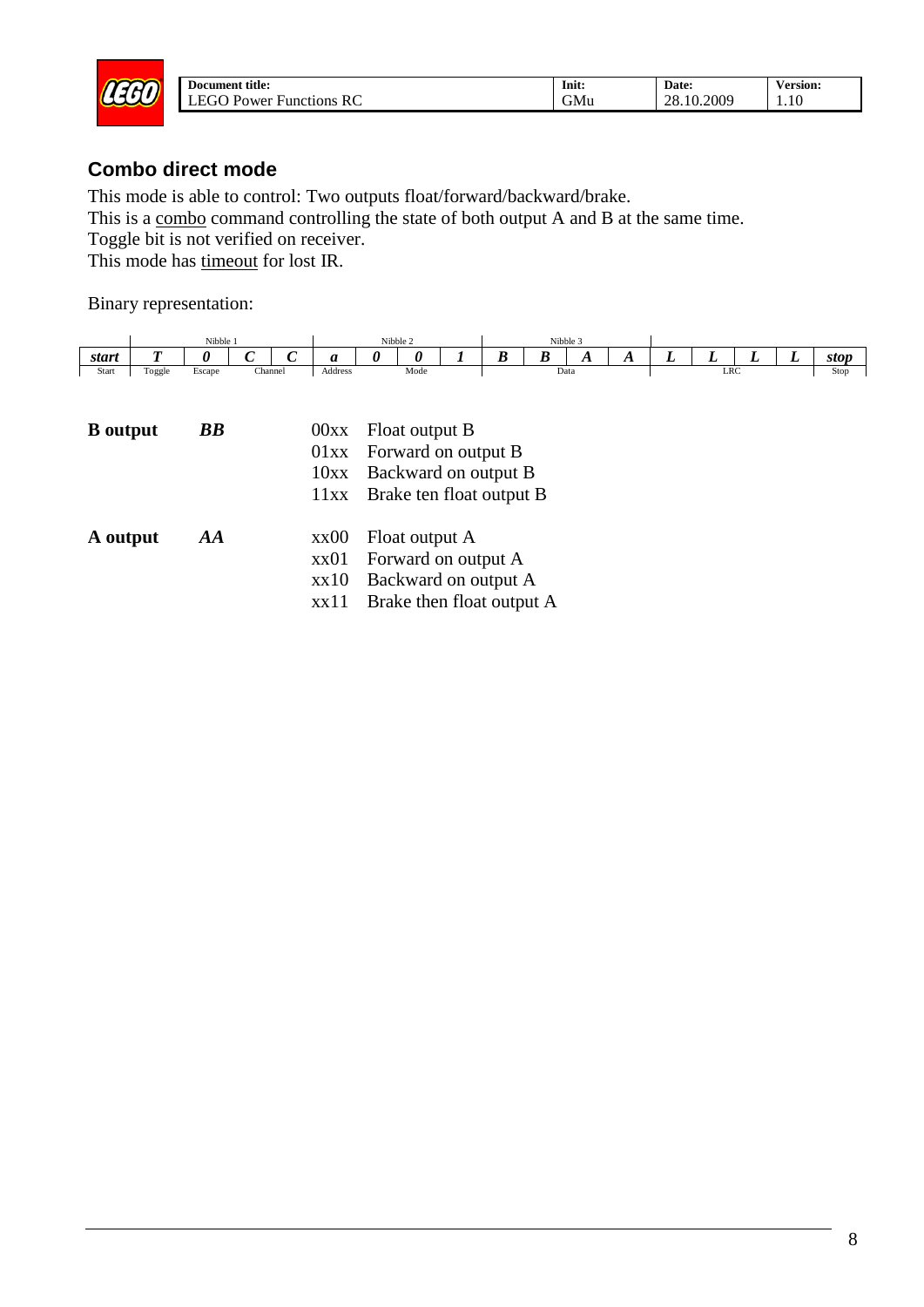

#### <span id="page-7-0"></span>**Combo direct mode**

This mode is able to control: Two outputs float/forward/backward/brake.

This is a combo command controlling the state of both output A and B at the same time.

Toggle bit is not verified on receiver.

This mode has timeout for lost IR.

|       |                | Nibble |         |         | Nibble 2 |      |                   | Nibble .   |     |     |     |     |     |                                 |      |
|-------|----------------|--------|---------|---------|----------|------|-------------------|------------|-----|-----|-----|-----|-----|---------------------------------|------|
| start | $\overline{r}$ |        |         | u       |          |      | $\mathbf{r}$<br>v | $\sim$<br> | . . | . . | . . | . . | . . | $\overline{\phantom{0}}$<br>. . | stop |
| Start | Toggle         | Escape | Channel | Address |          | Mode |                   | Data       |     |     |     | LRC |     |                                 | Stop |

| <b>B</b> output | <b>BB</b> | $00xx$ Float output B<br>01xx Forward on output B<br>10xx Backward on output B<br>11xx Brake ten float output B    |
|-----------------|-----------|--------------------------------------------------------------------------------------------------------------------|
| A output        | AA        | $xx00$ Float output A<br>xx01 Forward on output A<br>xx10 Backward on output A<br>$xx11$ Brake then float output A |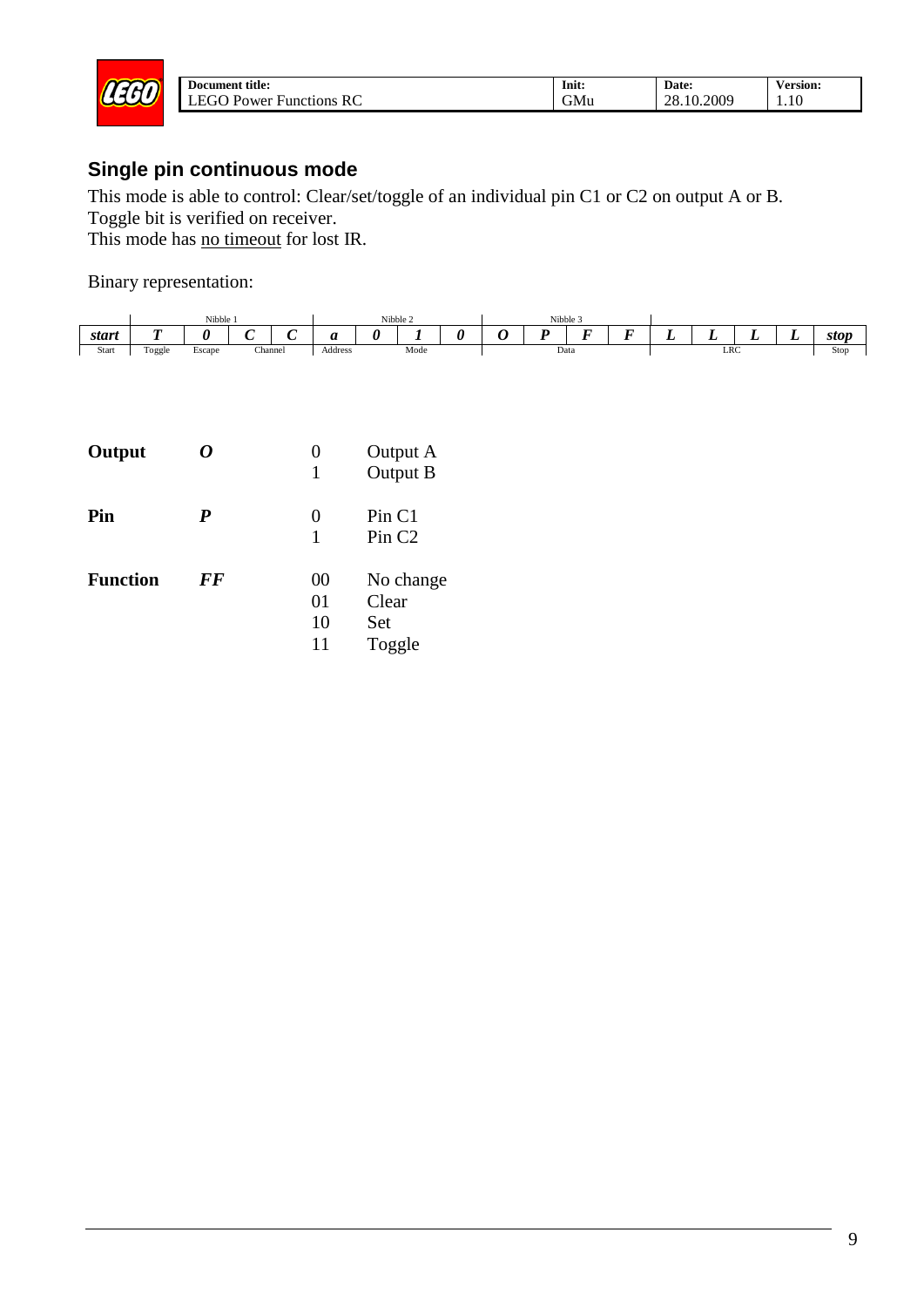

## <span id="page-8-0"></span>**Single pin continuous mode**

This mode is able to control: Clear/set/toggle of an individual pin C1 or C2 on output A or B.

Toggle bit is verified on receiver.

This mode has no timeout for lost IR.

|       |        |             | Nibble 2 |                       |              |  | Nibble 3 |  |  |  |                          |        |      |  |               |
|-------|--------|-------------|----------|-----------------------|--------------|--|----------|--|--|--|--------------------------|--------|------|--|---------------|
| start |        |             |          | $\tilde{\phantom{a}}$ |              |  |          |  |  |  | $\overline{\phantom{0}}$ | $\sim$ | <br> |  | stop          |
| Start | Toggle | -<br>Escape | Channel  |                       | Address<br>. |  | Mode     |  |  |  | Data                     |        | LRC  |  | Stop<br>- - - |

| Output          | 0         | O<br>1               | Output A<br>Output B                |
|-----------------|-----------|----------------------|-------------------------------------|
| Pin             | P         | $_{0}$<br>1          | Pin C1<br>Pin <sub>C2</sub>         |
| <b>Function</b> | <b>FF</b> | 00<br>01<br>10<br>11 | No change<br>Clear<br>Set<br>Toggle |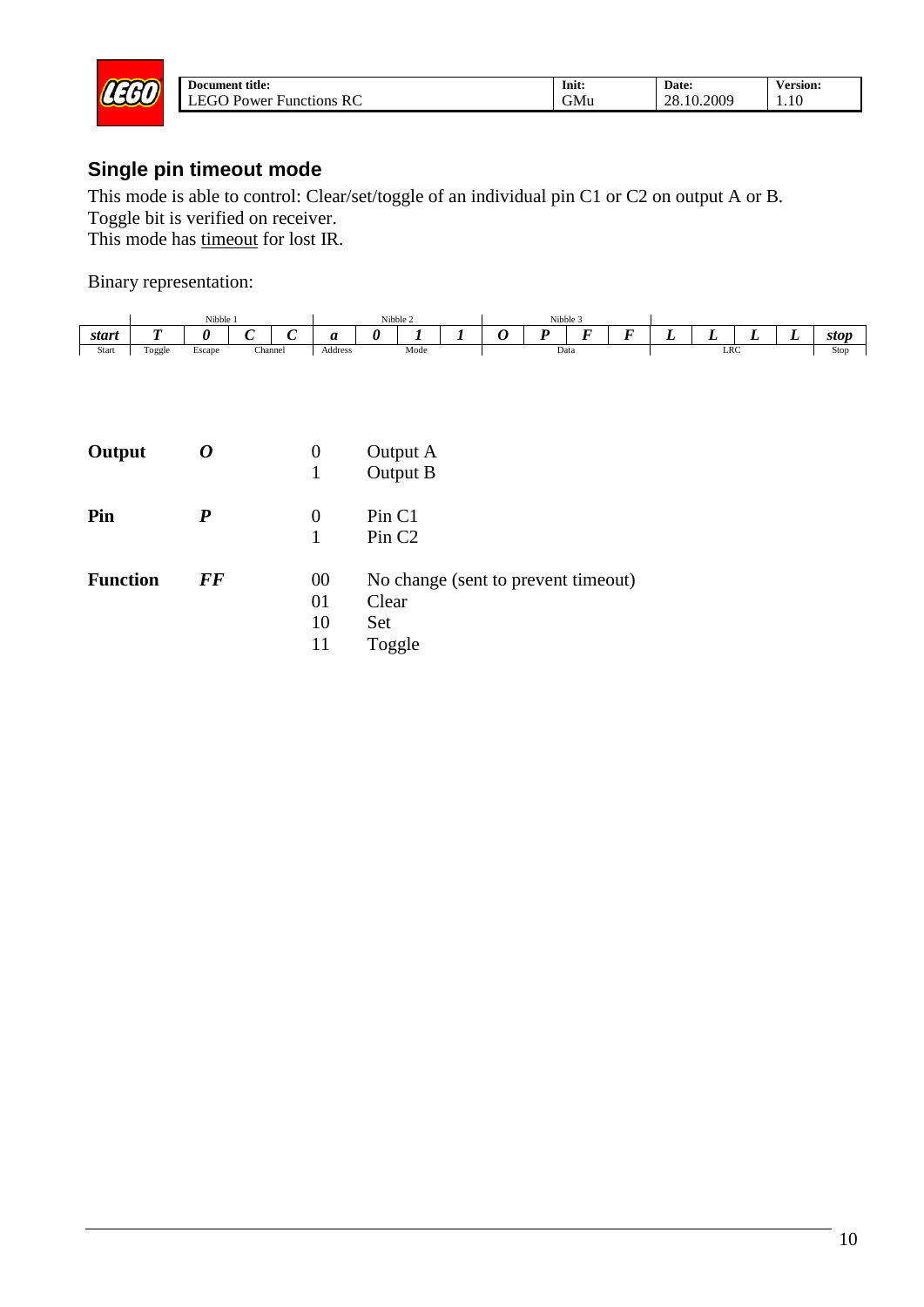

## <span id="page-9-0"></span>**Single pin timeout mode**

This mode is able to control: Clear/set/toggle of an individual pin C1 or C2 on output A or B. Toggle bit is verified on receiver.

This mode has timeout for lost IR.

|       | Nibble<br>Nibble 2 |        |                       | Nibble 3 |              |      |  |  |  |                          |                          |       |   |     |               |
|-------|--------------------|--------|-----------------------|----------|--------------|------|--|--|--|--------------------------|--------------------------|-------|---|-----|---------------|
| start | ~                  |        | $\tilde{\phantom{a}}$ | $\sim$   | --           |      |  |  |  | $\overline{\phantom{a}}$ | $\overline{\phantom{0}}$ | <br>∸ | ∸ | . . | stop          |
| Start | $\sim$<br>l`oggle  | Escape | Channel               |          | Address<br>. | Mode |  |  |  | Data                     |                          | LRC   |   |     | Stop<br>- - - |

| Output          |           | 0                    | Output A<br>Output B                                                 |
|-----------------|-----------|----------------------|----------------------------------------------------------------------|
| Pin             | P         | 0                    | Pin C1<br>Pin <sub>C2</sub>                                          |
| <b>Function</b> | <b>FF</b> | 00<br>01<br>10<br>11 | No change (sent to prevent timeout)<br>Clear<br><b>Set</b><br>Toggle |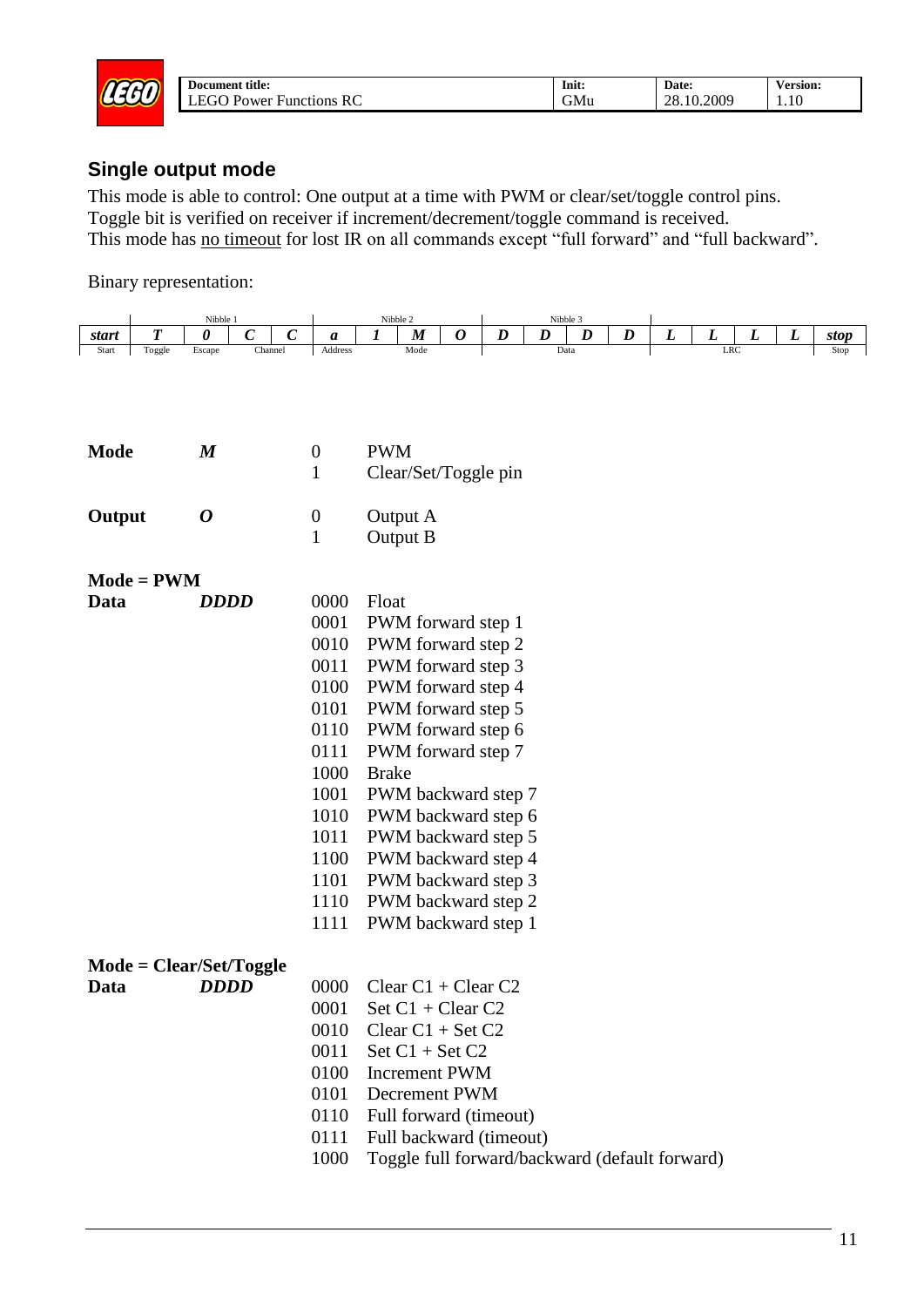

| title:<br>Document                            | .<br>Init: | Date:      | ersion: |
|-----------------------------------------------|------------|------------|---------|
| RC<br>-FC<br>τU<br><b>Functions</b><br>-Power | ~<br>GMu   | 28.10.2009 | 1.10    |

#### <span id="page-10-0"></span>**Single output mode**

This mode is able to control: One output at a time with PWM or clear/set/toggle control pins. Toggle bit is verified on receiver if increment/decrement/toggle command is received. This mode has <u>no timeout</u> for lost IR on all commands except "full forward" and "full backward".

|             |              | Nibble 1         |                                  |                  | Nibble 2     |                          |   |                         |   | Nibble 3                                       |   |   |            |   |   |      |  |
|-------------|--------------|------------------|----------------------------------|------------------|--------------|--------------------------|---|-------------------------|---|------------------------------------------------|---|---|------------|---|---|------|--|
| start       | T            | 0                | $\boldsymbol{C}$<br>$\mathcal C$ | a                | 1            | $\boldsymbol{M}$         | 0 | $\boldsymbol{D}$        | D | D                                              | D | L | L          | L | L | stop |  |
| Start       | Toggle       | Escape           | Channel                          | Address          |              | Mode                     |   |                         |   | Data                                           |   |   | <b>LRC</b> |   |   | Stop |  |
|             |              |                  |                                  |                  |              |                          |   |                         |   |                                                |   |   |            |   |   |      |  |
|             |              |                  |                                  |                  |              |                          |   |                         |   |                                                |   |   |            |   |   |      |  |
|             |              |                  |                                  |                  |              |                          |   |                         |   |                                                |   |   |            |   |   |      |  |
|             |              |                  |                                  |                  |              |                          |   |                         |   |                                                |   |   |            |   |   |      |  |
| <b>Mode</b> |              | $\boldsymbol{M}$ |                                  | $\boldsymbol{0}$ | <b>PWM</b>   |                          |   |                         |   |                                                |   |   |            |   |   |      |  |
|             |              |                  |                                  | 1                |              |                          |   | Clear/Set/Toggle pin    |   |                                                |   |   |            |   |   |      |  |
|             |              |                  |                                  |                  |              |                          |   |                         |   |                                                |   |   |            |   |   |      |  |
| Output      |              | 0                |                                  | $\boldsymbol{0}$ |              | Output A                 |   |                         |   |                                                |   |   |            |   |   |      |  |
|             |              |                  |                                  | $\mathbf{1}$     |              | Output B                 |   |                         |   |                                                |   |   |            |   |   |      |  |
|             |              |                  |                                  |                  |              |                          |   |                         |   |                                                |   |   |            |   |   |      |  |
|             | $Mode = PWM$ |                  |                                  |                  |              |                          |   |                         |   |                                                |   |   |            |   |   |      |  |
| Data        |              | <b>DDDD</b>      |                                  | 0000             | Float        |                          |   |                         |   |                                                |   |   |            |   |   |      |  |
|             |              |                  |                                  | 0001             |              |                          |   | PWM forward step 1      |   |                                                |   |   |            |   |   |      |  |
|             |              |                  |                                  | 0010             |              |                          |   | PWM forward step 2      |   |                                                |   |   |            |   |   |      |  |
|             |              |                  |                                  | 0011             |              |                          |   | PWM forward step 3      |   |                                                |   |   |            |   |   |      |  |
|             |              |                  |                                  | 0100             |              |                          |   | PWM forward step 4      |   |                                                |   |   |            |   |   |      |  |
|             |              |                  |                                  | 0101             |              |                          |   | PWM forward step 5      |   |                                                |   |   |            |   |   |      |  |
|             |              |                  |                                  | 0110             |              |                          |   | PWM forward step 6      |   |                                                |   |   |            |   |   |      |  |
|             |              |                  |                                  | 0111             |              |                          |   | PWM forward step 7      |   |                                                |   |   |            |   |   |      |  |
|             |              |                  |                                  | 1000             | <b>Brake</b> |                          |   |                         |   |                                                |   |   |            |   |   |      |  |
|             |              |                  |                                  | 1001             |              |                          |   | PWM backward step 7     |   |                                                |   |   |            |   |   |      |  |
|             |              |                  |                                  | 1010             |              |                          |   | PWM backward step 6     |   |                                                |   |   |            |   |   |      |  |
|             |              |                  |                                  | 1011             |              |                          |   | PWM backward step 5     |   |                                                |   |   |            |   |   |      |  |
|             |              |                  |                                  | 1100             |              |                          |   | PWM backward step 4     |   |                                                |   |   |            |   |   |      |  |
|             |              |                  |                                  | 1101             |              |                          |   | PWM backward step 3     |   |                                                |   |   |            |   |   |      |  |
|             |              |                  |                                  | 1110             |              |                          |   | PWM backward step 2     |   |                                                |   |   |            |   |   |      |  |
|             |              |                  |                                  | 1111             |              |                          |   | PWM backward step 1     |   |                                                |   |   |            |   |   |      |  |
|             |              |                  |                                  |                  |              |                          |   |                         |   |                                                |   |   |            |   |   |      |  |
|             |              |                  | $Mode = Clear/Set/Together$      |                  |              |                          |   |                         |   |                                                |   |   |            |   |   |      |  |
| Data        |              | <b>DDDD</b>      |                                  | 0000             |              | Clear $C1 + C$ lear $C2$ |   |                         |   |                                                |   |   |            |   |   |      |  |
|             |              |                  |                                  | 0001             |              | Set $C1 + C$ lear $C2$   |   |                         |   |                                                |   |   |            |   |   |      |  |
|             |              |                  |                                  | 0010             |              | Clear $C1 + Set C2$      |   |                         |   |                                                |   |   |            |   |   |      |  |
|             |              |                  |                                  | 0011             |              | Set $C1 + Set C2$        |   |                         |   |                                                |   |   |            |   |   |      |  |
|             |              |                  |                                  | 0100             |              | <b>Increment PWM</b>     |   |                         |   |                                                |   |   |            |   |   |      |  |
|             |              |                  |                                  | 0101             |              | Decrement PWM            |   |                         |   |                                                |   |   |            |   |   |      |  |
|             |              |                  |                                  | 0110             |              |                          |   | Full forward (timeout)  |   |                                                |   |   |            |   |   |      |  |
|             |              |                  |                                  | 0111             |              |                          |   | Full backward (timeout) |   |                                                |   |   |            |   |   |      |  |
|             |              |                  |                                  | 1000             |              |                          |   |                         |   | Toggle full forward/backward (default forward) |   |   |            |   |   |      |  |
|             |              |                  |                                  |                  |              |                          |   |                         |   |                                                |   |   |            |   |   |      |  |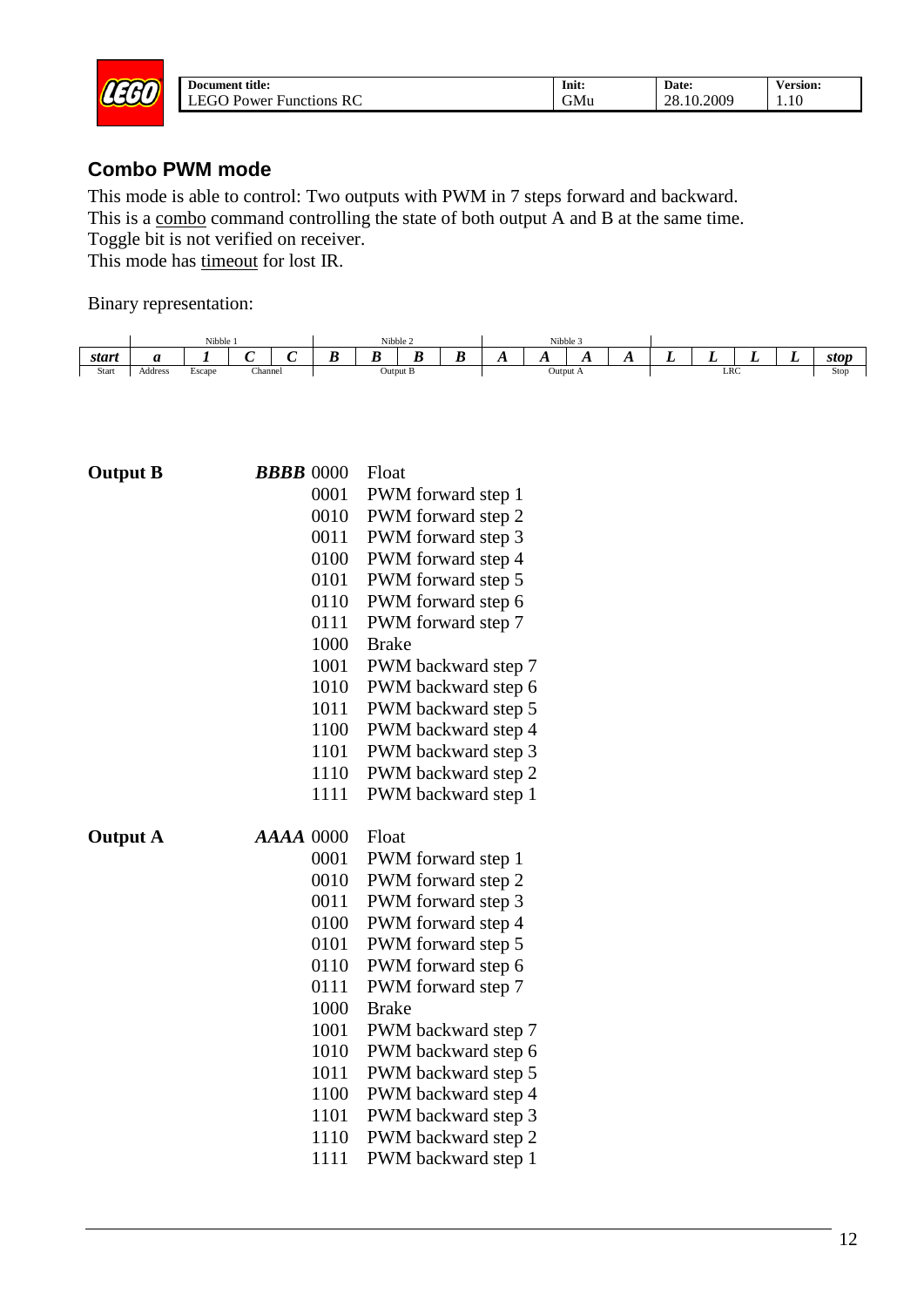

| Document title:                                  | $\bullet$<br>Init: | Date:      | ersion:/ |
|--------------------------------------------------|--------------------|------------|----------|
| -<br>.<br>RC<br>Power<br><b>Functions</b><br>- - | GMu                | 28.10.2009 | 1.10     |

#### <span id="page-11-0"></span>**Combo PWM mode**

This mode is able to control: Two outputs with PWM in 7 steps forward and backward. This is a combo command controlling the state of both output A and B at the same time. Toggle bit is not verified on receiver.

This mode has timeout for lost IR.



| <b>Output B</b> | <b>BBBB</b> 0000 | Float                                      |
|-----------------|------------------|--------------------------------------------|
|                 | 0001             | PWM forward step 1                         |
|                 | 0010             | PWM forward step 2                         |
|                 | 0011             | PWM forward step 3                         |
|                 | 0100             | PWM forward step 4                         |
|                 | 0101             | PWM forward step 5                         |
|                 | 0110             | PWM forward step 6                         |
|                 | 0111             | PWM forward step 7                         |
|                 | 1000             | <b>Brake</b>                               |
|                 | 1001             | PWM backward step 7                        |
|                 | 1010             | PWM backward step 6                        |
|                 | 1011             | PWM backward step 5                        |
|                 | 1100             | PWM backward step 4                        |
|                 | 1101             | PWM backward step 3                        |
|                 | 1110             | PWM backward step 2                        |
|                 | 1111             | PWM backward step 1                        |
|                 |                  |                                            |
| <b>Output A</b> | <b>AAAA 0000</b> | Float                                      |
|                 | 0001             | PWM forward step 1                         |
|                 | 0010             | PWM forward step 2                         |
|                 | 0011             | PWM forward step 3                         |
|                 | 0100             | PWM forward step 4                         |
|                 | 0101             | PWM forward step 5                         |
|                 | 0110             | PWM forward step 6                         |
|                 | 0111             | PWM forward step 7                         |
|                 | 1000             | <b>Brake</b>                               |
|                 | 1001             | PWM backward step 7                        |
|                 | 1010             | PWM backward step 6                        |
|                 | 1011             | PWM backward step 5                        |
|                 | 1100             | PWM backward step 4                        |
|                 | 1101             | PWM backward step 3                        |
|                 | 1110<br>1111     | PWM backward step 2<br>PWM backward step 1 |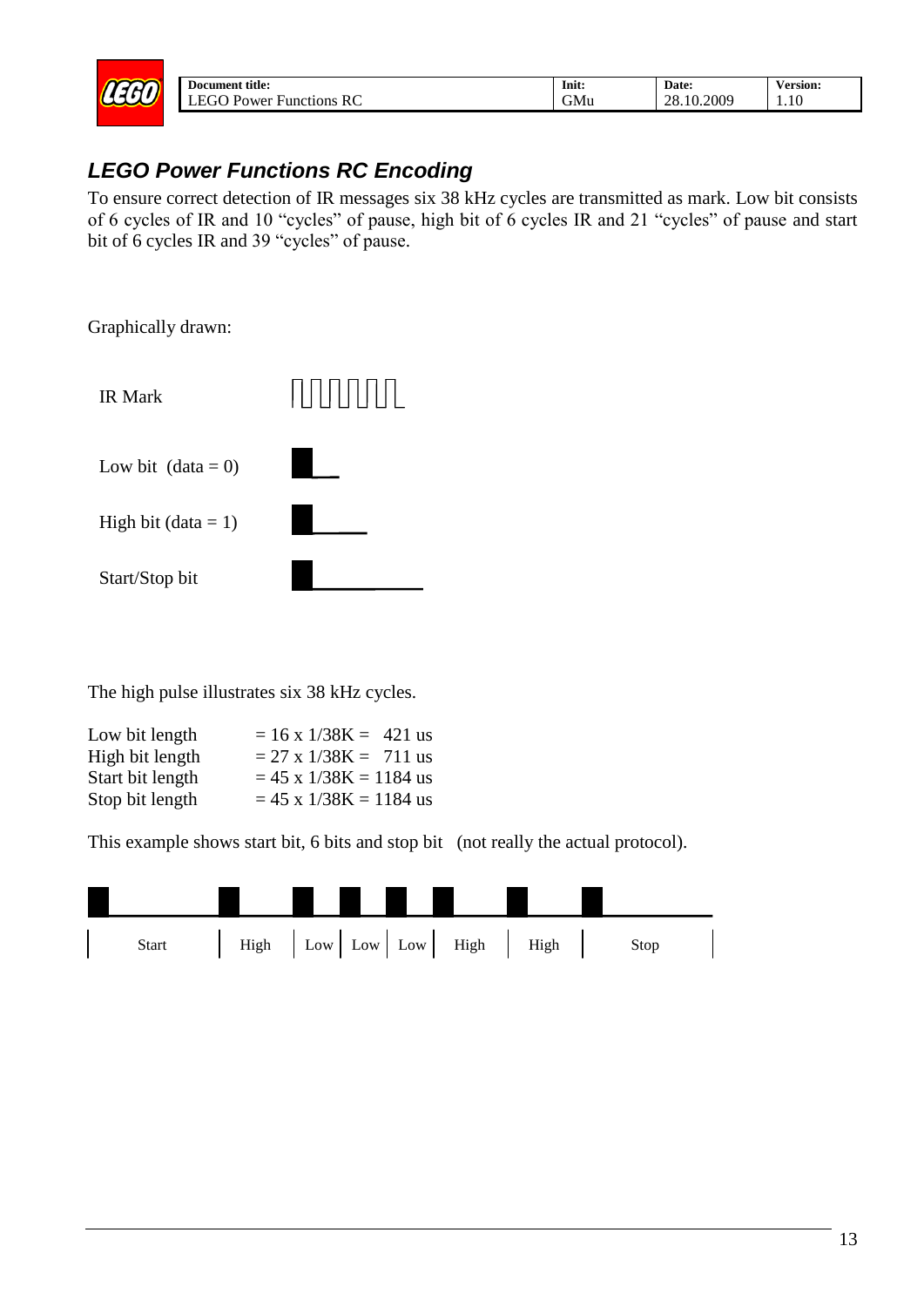

| Document title:                       | Init:         | Date:      | <b>Version:</b> |
|---------------------------------------|---------------|------------|-----------------|
| TFGO.<br><b>Functions RC</b><br>Power | $\sim$<br>υMυ | 28.10.2009 | 1.10            |

## <span id="page-12-0"></span>*LEGO Power Functions RC Encoding*

To ensure correct detection of IR messages six 38 kHz cycles are transmitted as mark. Low bit consists of 6 cycles of IR and 10 "cycles" of pause, high bit of 6 cycles IR and 21 "cycles" of pause and start bit of 6 cycles IR and 39 "cycles" of pause.

Graphically drawn:



The high pulse illustrates six 38 kHz cycles.

| Low bit length   | $= 16 \times 1/38K = 421$ us |
|------------------|------------------------------|
| High bit length  | $= 27 \times 1/38K = 711$ us |
| Start bit length | $= 45$ x $1/38$ K = 1184 us  |
| Stop bit length  | $= 45$ x $1/38$ K = 1184 us  |

This example shows start bit, 6 bits and stop bit (not really the actual protocol).

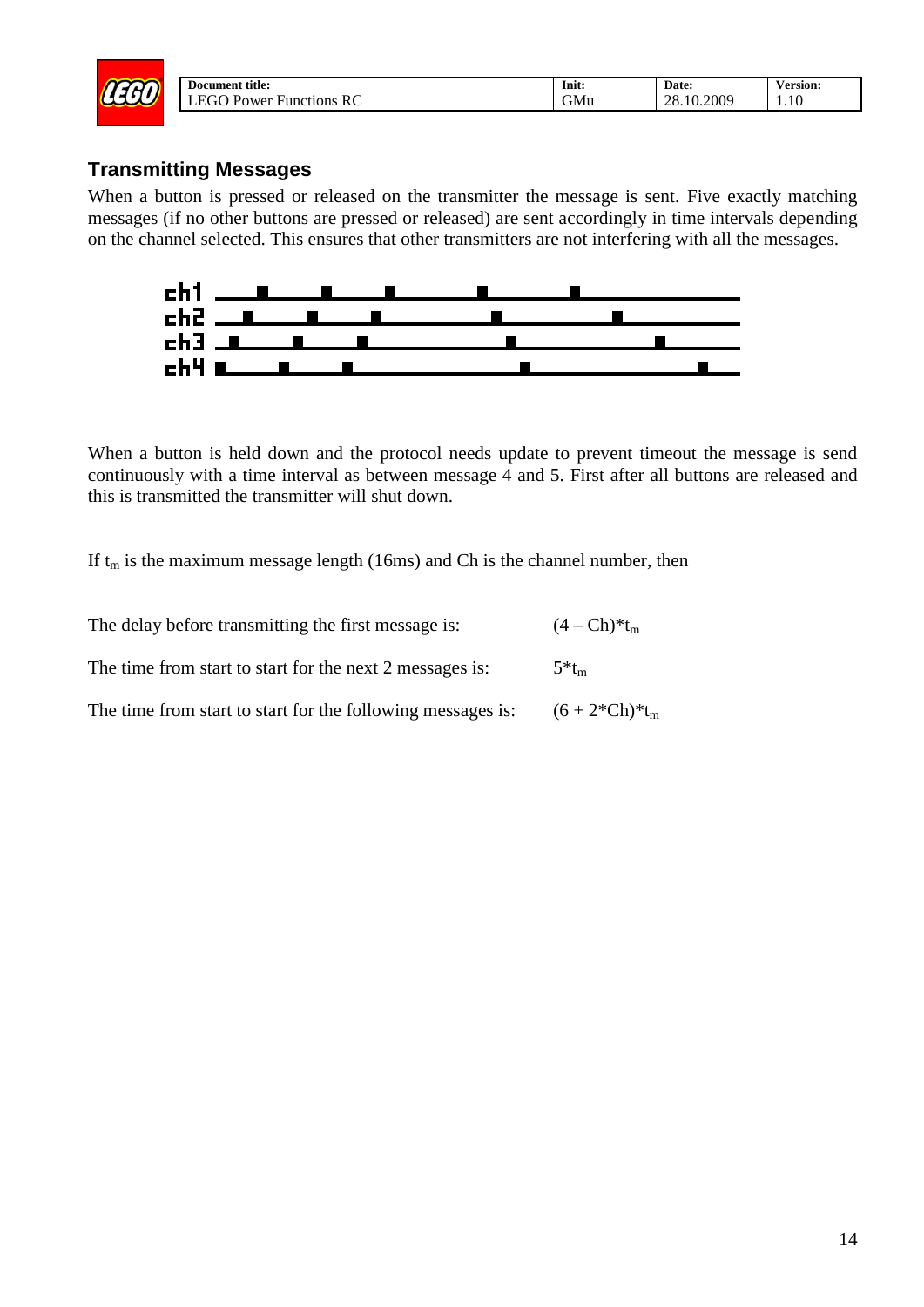| $\sim$ | Document title:                 | Init: | Date:      | <b>Version:</b> |
|--------|---------------------------------|-------|------------|-----------------|
| سمس    | RC<br><b>Functions</b><br>Power | GMu   | 28.10.2009 | 1.10            |
|        |                                 |       |            |                 |

#### <span id="page-13-0"></span>**Transmitting Messages**

When a button is pressed or released on the transmitter the message is sent. Five exactly matching messages (if no other buttons are pressed or released) are sent accordingly in time intervals depending on the channel selected. This ensures that other transmitters are not interfering with all the messages.



When a button is held down and the protocol needs update to prevent timeout the message is send continuously with a time interval as between message 4 and 5. First after all buttons are released and this is transmitted the transmitter will shut down.

If  $t_m$  is the maximum message length (16ms) and Ch is the channel number, then

| The delay before transmitting the first message is:         | $(4 - Ch)*t_m$      |
|-------------------------------------------------------------|---------------------|
| The time from start to start for the next 2 messages is:    | $5*$ t <sub>m</sub> |
| The time from start to start for the following messages is: | $(6+2*Ch)*t_m$      |